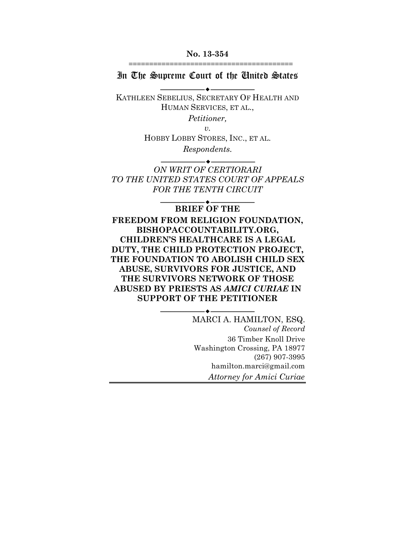**No. 13-354**

========================================

In The Supreme Court of the United States  $\blacktriangle$  .

KATHLEEN SEBELIUS, SECRETARY OF HEALTH AND HUMAN SERVICES, ET AL.,

*Petitioner,*

*v.*

HOBBY LOBBY STORES, INC., ET AL.

*Respondents.*

 $\overbrace{\hspace{2.5cm}}^{\bullet}$ 

*ON WRIT OF CERTIORARI TO THE UNITED STATES COURT OF APPEALS FOR THE TENTH CIRCUIT*

**BRIEF OF THE**

 $\overline{\phantom{a}}$ 

**FREEDOM FROM RELIGION FOUNDATION, BISHOPACCOUNTABILITY.ORG, CHILDREN'S HEALTHCARE IS A LEGAL DUTY, THE CHILD PROTECTION PROJECT, THE FOUNDATION TO ABOLISH CHILD SEX ABUSE, SURVIVORS FOR JUSTICE, AND THE SURVIVORS NETWORK OF THOSE ABUSED BY PRIESTS AS** *AMICI CURIAE* **IN SUPPORT OF THE PETITIONER**

 $-\bullet$ -

MARCI A. HAMILTON, ESQ. *Counsel of Record* 36 Timber Knoll Drive Washington Crossing, PA 18977 (267) 907-3995 hamilton.marci@gmail.com *Attorney for Amici Curiae*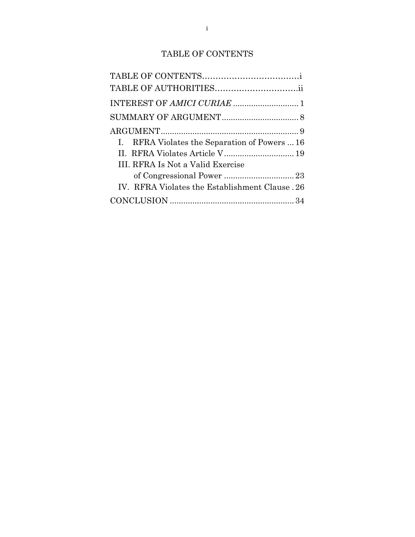# TABLE OF CONTENTS

| INTEREST OF AMICI CURIAE  1                     |
|-------------------------------------------------|
|                                                 |
|                                                 |
| I. RFRA Violates the Separation of Powers  16   |
| II. RFRA Violates Article V 19                  |
|                                                 |
|                                                 |
| IV. RFRA Violates the Establishment Clause . 26 |
|                                                 |
|                                                 |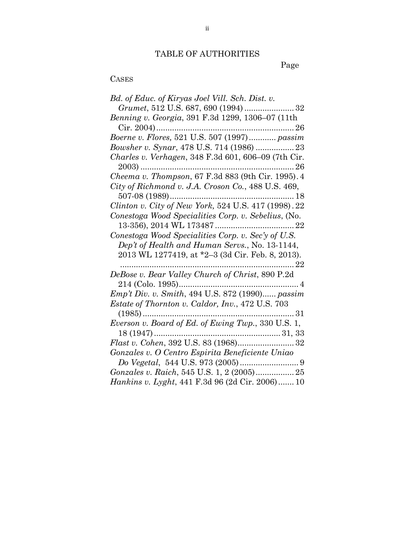# TABLE OF AUTHORITIES

Page

### CASES

| Bd. of Educ. of Kiryas Joel Vill. Sch. Dist. v.        |
|--------------------------------------------------------|
|                                                        |
| Benning v. Georgia, 391 F.3d 1299, 1306–07 (11th       |
|                                                        |
| Boerne v. Flores, 521 U.S. 507 (1997) passim           |
| Bowsher v. Synar, 478 U.S. 714 (1986)  23              |
| Charles v. Verhagen, 348 F.3d 601, 606-09 (7th Cir.    |
|                                                        |
| Cheema v. Thompson, 67 F.3d 883 (9th Cir. 1995). 4     |
| City of Richmond v. J.A. Croson Co., 488 U.S. 469,     |
|                                                        |
| Clinton v. City of New York, 524 U.S. 417 (1998). 22   |
| Conestoga Wood Specialities Corp. v. Sebelius, (No.    |
|                                                        |
| Conestoga Wood Specialities Corp. v. Sec'y of U.S.     |
| Dep't of Health and Human Servs., No. 13-1144,         |
| 2013 WL 1277419, at *2-3 (3d Cir. Feb. 8, 2013).       |
| . 22                                                   |
| DeBose v. Bear Valley Church of Christ, 890 P.2d       |
|                                                        |
| <i>Emp't Div. v. Smith, 494 U.S. 872 (1990) passim</i> |
| Estate of Thornton v. Caldor, Inv., 472 U.S. 703       |
|                                                        |
| Everson v. Board of Ed. of Ewing Twp., 330 U.S. 1,     |
|                                                        |
|                                                        |
| Gonzales v. O Centro Espirita Beneficiente Uniao       |
|                                                        |
|                                                        |
|                                                        |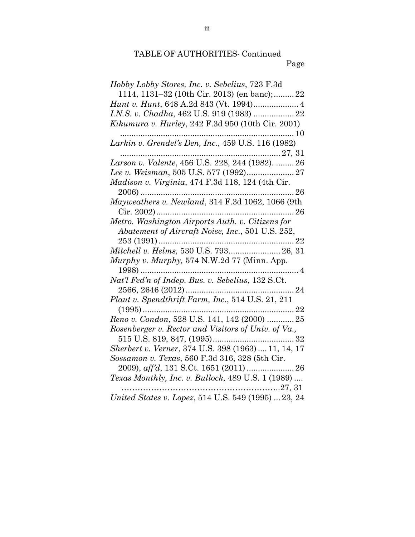| Hobby Lobby Stores, Inc. v. Sebelius, 723 F.3d            |
|-----------------------------------------------------------|
| 1114, 1131–32 (10th Cir. 2013) (en banc); 22              |
|                                                           |
| I.N.S. v. Chadha, 462 U.S. 919 (1983)  22                 |
| Kikumura v. Hurley, 242 F.3d 950 (10th Cir. 2001)<br>.10  |
| Larkin v. Grendel's Den, Inc., 459 U.S. 116 (1982)        |
|                                                           |
| Larson v. Valente, 456 U.S. 228, 244 (1982).  26          |
|                                                           |
| Madison v. Virginia, 474 F.3d 118, 124 (4th Cir.          |
|                                                           |
| Mayweathers v. Newland, 314 F.3d 1062, 1066 (9th          |
| Cir. 2002)                                                |
| Metro. Washington Airports Auth. v. Citizens for          |
| Abatement of Aircraft Noise, Inc., 501 U.S. 252,          |
|                                                           |
| Mitchell v. Helms, 530 U.S. 793 26, 31                    |
| Murphy v. Murphy, 574 N.W.2d 77 (Minn. App.               |
| $1998)$                                                   |
| Nat'l Fed'n of Indep. Bus. v. Sebelius, 132 S.Ct.         |
|                                                           |
| Plaut v. Spendthrift Farm, Inc., 514 U.S. 21, 211         |
|                                                           |
| Reno v. Condon, 528 U.S. 141, 142 (2000)  25              |
| Rosenberger v. Rector and Visitors of Univ. of Va.,       |
|                                                           |
| Sherbert v. Verner, 374 U.S. 398 (1963)  11, 14, 17       |
| Sossamon v. Texas, 560 F.3d 316, 328 (5th Cir.            |
|                                                           |
| <i>Texas Monthly, Inc. v. Bullock, 489 U.S. 1 (1989) </i> |
| 27, 31                                                    |
| United States v. Lopez, 514 U.S. 549 (1995)  23, 24       |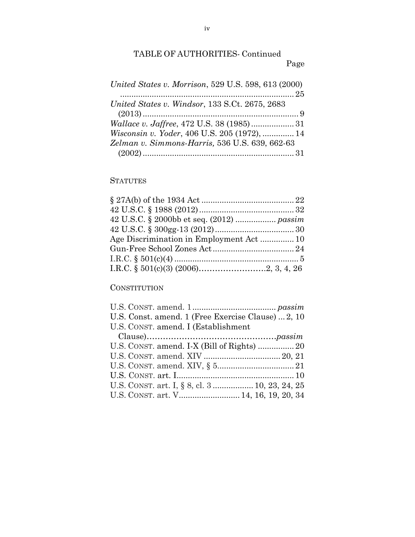| United States v. Morrison, 529 U.S. 598, 613 (2000) |  |
|-----------------------------------------------------|--|
|                                                     |  |
| United States v. Windsor, 133 S.Ct. 2675, 2683      |  |
|                                                     |  |
|                                                     |  |
| Wisconsin v. Yoder, 406 U.S. 205 (1972),  14        |  |
| Zelman v. Simmons-Harris, 536 U.S. 639, 662-63      |  |
|                                                     |  |

# **STATUTES**

| Age Discrimination in Employment Act 10 |  |
|-----------------------------------------|--|
|                                         |  |
|                                         |  |
|                                         |  |

#### **CONSTITUTION**

| U.S. Const. amend. 1 (Free Exercise Clause)  2, 10 |  |
|----------------------------------------------------|--|
| U.S. CONST. amend. I (Establishment                |  |
|                                                    |  |
| U.S. CONST. amend. I-X (Bill of Rights)  20        |  |
|                                                    |  |
|                                                    |  |
|                                                    |  |
| U.S. CONST. art. I, § 8, cl. 3  10, 23, 24, 25     |  |
| U.S. CONST. art. V 14, 16, 19, 20, 34              |  |
|                                                    |  |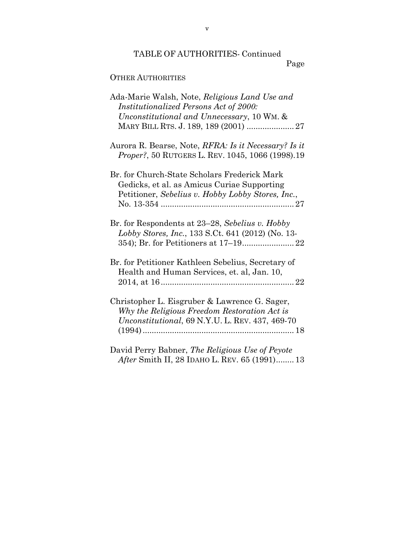### Page

## OTHER AUTHORITIES

| Ada-Marie Walsh, Note, Religious Land Use and                                                                   |
|-----------------------------------------------------------------------------------------------------------------|
| Institutionalized Persons Act of 2000:<br>Unconstitutional and Unnecessary, 10 WM. &                            |
| MARY BILL RTS. J. 189, 189 (2001)  27                                                                           |
|                                                                                                                 |
| Aurora R. Bearse, Note, <i>RFRA: Is it Necessary? Is it</i><br>Proper?, 50 RUTGERS L. REV. 1045, 1066 (1998).19 |
| Br. for Church-State Scholars Frederick Mark                                                                    |
| Gedicks, et al. as Amicus Curiae Supporting                                                                     |
| Petitioner, Sebelius v. Hobby Lobby Stores, Inc.,                                                               |
|                                                                                                                 |
| Br. for Respondents at 23–28, Sebelius v. Hobby<br>Lobby Stores, Inc., 133 S.Ct. 641 (2012) (No. 13-            |
|                                                                                                                 |
| Br. for Petitioner Kathleen Sebelius, Secretary of<br>Health and Human Services, et. al, Jan. 10,               |
|                                                                                                                 |
| Christopher L. Eisgruber & Lawrence G. Sager,                                                                   |
| Why the Religious Freedom Restoration Act is                                                                    |
| Unconstitutional, 69 N.Y.U. L. REV. 437, 469-70                                                                 |
|                                                                                                                 |
|                                                                                                                 |
| David Perry Babner, The Religious Use of Peyote                                                                 |
| After Smith II, 28 IDAHO L. REV. 65 (1991) 13                                                                   |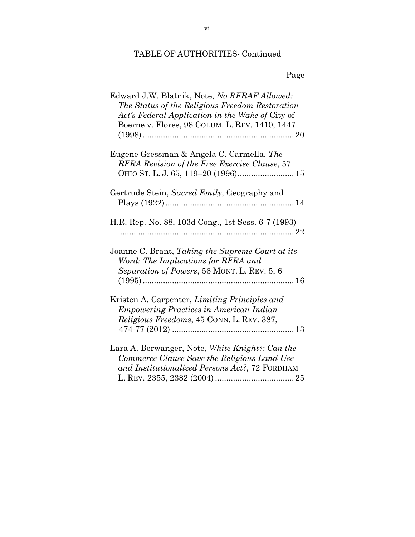Page

| Edward J.W. Blatnik, Note, No RFRAF Allowed:<br>The Status of the Religious Freedom Restoration<br>Act's Federal Application in the Wake of City of<br>Boerne v. Flores, 98 COLUM. L. REV. 1410, 1447 |
|-------------------------------------------------------------------------------------------------------------------------------------------------------------------------------------------------------|
| Eugene Gressman & Angela C. Carmella, The<br>RFRA Revision of the Free Exercise Clause, 57                                                                                                            |
| Gertrude Stein, Sacred Emily, Geography and                                                                                                                                                           |
| H.R. Rep. No. 88, 103d Cong., 1st Sess. 6-7 (1993)                                                                                                                                                    |
| Joanne C. Brant, Taking the Supreme Court at its<br>Word: The Implications for RFRA and<br>Separation of Powers, 56 MONT. L. REV. 5, 6                                                                |
| Kristen A. Carpenter, Limiting Principles and<br><b>Empowering Practices in American Indian</b><br>Religious Freedoms, 45 CONN. L. REV. 387,                                                          |
| Lara A. Berwanger, Note, White Knight?: Can the<br>Commerce Clause Save the Religious Land Use<br>and Institutionalized Persons Act?, 72 FORDHAM                                                      |

vi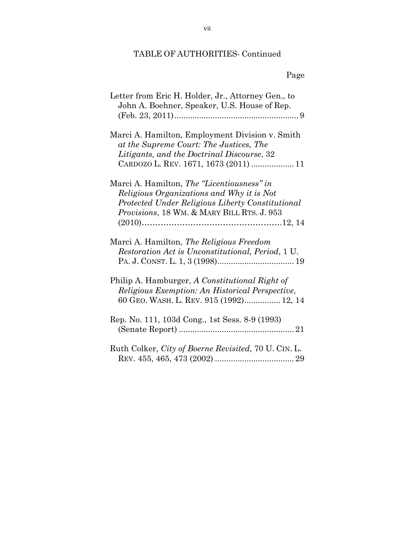| Letter from Eric H. Holder, Jr., Attorney Gen., to<br>John A. Boehner, Speaker, U.S. House of Rep.                                                                                        |
|-------------------------------------------------------------------------------------------------------------------------------------------------------------------------------------------|
| Marci A. Hamilton, Employment Division v. Smith<br>at the Supreme Court: The Justices, The<br>Litigants, and the Doctrinal Discourse, 32<br>CARDOZO L. REV. 1671, 1673 (2011)  11         |
| Marci A. Hamilton, The "Licentiousness" in<br>Religious Organizations and Why it is Not<br>Protected Under Religious Liberty Constitutional<br>Provisions, 18 WM. & MARY BILL RTS. J. 953 |
| Marci A. Hamilton, The Religious Freedom<br>Restoration Act is Unconstitutional, Period, 1 U.                                                                                             |
| Philip A. Hamburger, A Constitutional Right of<br>Religious Exemption: An Historical Perspective,<br>60 GEO. WASH. L. REV. 915 (1992) 12, 14                                              |
| Rep. No. 111, 103d Cong., 1st Sess. 8-9 (1993)                                                                                                                                            |
| Ruth Colker, City of Boerne Revisited, 70 U. CIN. L.                                                                                                                                      |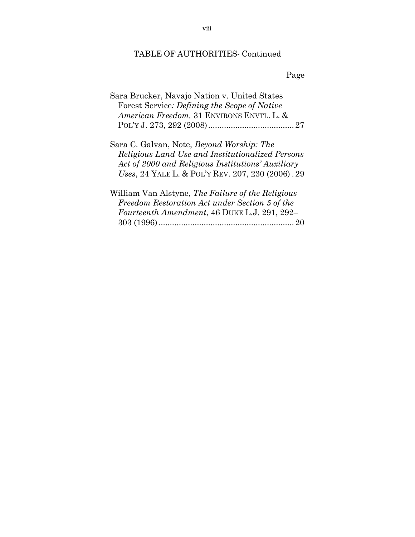Page

| Sara Brucker, Navajo Nation v. United States |  |
|----------------------------------------------|--|
| Forest Service: Defining the Scope of Native |  |
| American Freedom, 31 ENVIRONS ENVTL. L. &    |  |
|                                              |  |

Sara C. Galvan, Note, *Beyond Worship: The Religious Land Use and Institutionalized Persons Act of 2000 and Religious Institutions' Auxiliary Uses*, 24 YALE L. & POL'Y REV. 207, 230 (2006) . 29

William Van Alstyne, *The Failure of the Religious Freedom Restoration Act under Section 5 of the Fourteenth Amendment*, 46 DUKE L.J. 291, 292– 303 (1996)............................................................ 20

viii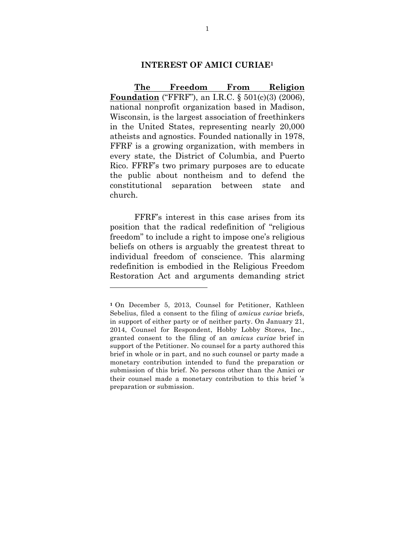#### **INTEREST OF AMICI CURIAE1**

**The Freedom From Religion Foundation** ("FFRF"), an I.R.C. § 501(c)(3) (2006), national nonprofit organization based in Madison, Wisconsin, is the largest association of freethinkers in the United States, representing nearly 20,000 atheists and agnostics. Founded nationally in 1978, FFRF is a growing organization, with members in every state, the District of Columbia, and Puerto Rico. FFRF's two primary purposes are to educate the public about nontheism and to defend the constitutional separation between state and church.

FFRF's interest in this case arises from its position that the radical redefinition of "religious freedom" to include a right to impose one's religious beliefs on others is arguably the greatest threat to individual freedom of conscience. This alarming redefinition is embodied in the Religious Freedom Restoration Act and arguments demanding strict

 

**<sup>1</sup>** On December 5, 2013, Counsel for Petitioner, Kathleen Sebelius, filed a consent to the filing of *amicus curiae* briefs, in support of either party or of neither party. On January 21, 2014, Counsel for Respondent, Hobby Lobby Stores, Inc., granted consent to the filing of an *amicus curiae* brief in support of the Petitioner. No counsel for a party authored this brief in whole or in part, and no such counsel or party made a monetary contribution intended to fund the preparation or submission of this brief. No persons other than the Amici or their counsel made a monetary contribution to this brief 's preparation or submission.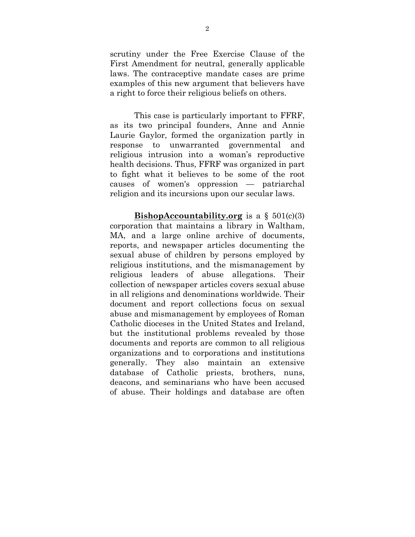scrutiny under the Free Exercise Clause of the First Amendment for neutral, generally applicable laws. The contraceptive mandate cases are prime examples of this new argument that believers have a right to force their religious beliefs on others.

This case is particularly important to FFRF, as its two principal founders, Anne and Annie Laurie Gaylor, formed the organization partly in response to unwarranted governmental and religious intrusion into a woman's reproductive health decisions. Thus, FFRF was organized in part to fight what it believes to be some of the root causes of women's oppression — patriarchal religion and its incursions upon our secular laws.

**BishopAccountability.org** is a  $\S$  501(c)(3) corporation that maintains a library in Waltham, MA, and a large online archive of documents, reports, and newspaper articles documenting the sexual abuse of children by persons employed by religious institutions, and the mismanagement by religious leaders of abuse allegations. Their collection of newspaper articles covers sexual abuse in all religions and denominations worldwide. Their document and report collections focus on sexual abuse and mismanagement by employees of Roman Catholic dioceses in the United States and Ireland, but the institutional problems revealed by those documents and reports are common to all religious organizations and to corporations and institutions generally. They also maintain an extensive database of Catholic priests, brothers, nuns, deacons, and seminarians who have been accused of abuse. Their holdings and database are often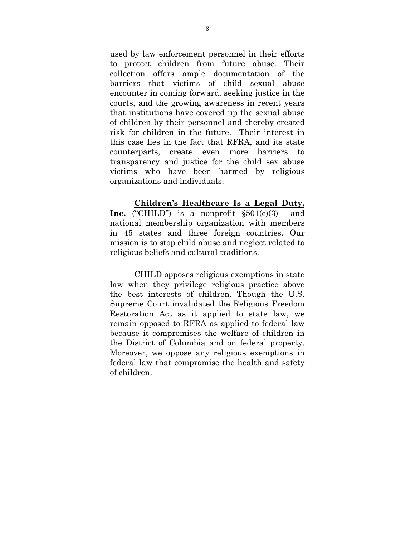used by law enforcement personnel in their efforts to protect children from future abuse. Their collection offers ample documentation of the barriers that victims of child sexual abuse encounter in coming forward, seeking justice in the courts, and the growing awareness in recent years that institutions have covered up the sexual abuse of children by their personnel and thereby created risk for children in the future. Their interest in this case lies in the fact that RFRA, and its state counterparts, create even more barriers to transparency and justice for the child sex abuse victims who have been harmed by religious organizations and individuals.

**Children's Healthcare Is a Legal Duty, Inc.** ("CHILD") is a nonprofit §501(c)(3) and national membership organization with members in 45 states and three foreign countries. Our mission is to stop child abuse and neglect related to religious beliefs and cultural traditions.

CHILD opposes religious exemptions in state law when they privilege religious practice above the best interests of children. Though the U.S. Supreme Court invalidated the Religious Freedom Restoration Act as it applied to state law, we remain opposed to RFRA as applied to federal law because it compromises the welfare of children in the District of Columbia and on federal property. Moreover, we oppose any religious exemptions in federal law that compromise the health and safety of children.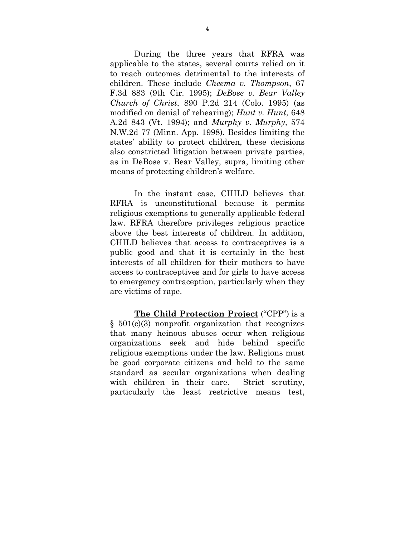During the three years that RFRA was applicable to the states, several courts relied on it to reach outcomes detrimental to the interests of children. These include *Cheema v. Thompson*, 67 F.3d 883 (9th Cir. 1995); *DeBose v. Bear Valley Church of Christ*, 890 P.2d 214 (Colo. 1995) (as modified on denial of rehearing); *Hunt v. Hunt*, 648 A.2d 843 (Vt. 1994); and *Murphy v. Murphy,* 574 N.W.2d 77 (Minn. App. 1998). Besides limiting the states' ability to protect children, these decisions also constricted litigation between private parties, as in DeBose v. Bear Valley, supra, limiting other means of protecting children's welfare.

In the instant case, CHILD believes that RFRA is unconstitutional because it permits religious exemptions to generally applicable federal law. RFRA therefore privileges religious practice above the best interests of children. In addition, CHILD believes that access to contraceptives is a public good and that it is certainly in the best interests of all children for their mothers to have access to contraceptives and for girls to have access to emergency contraception, particularly when they are victims of rape.

**The Child Protection Project** ("CPP") is a  $§ 501(c)(3)$  nonprofit organization that recognizes that many heinous abuses occur when religious organizations seek and hide behind specific religious exemptions under the law. Religions must be good corporate citizens and held to the same standard as secular organizations when dealing with children in their care. Strict scrutiny, particularly the least restrictive means test,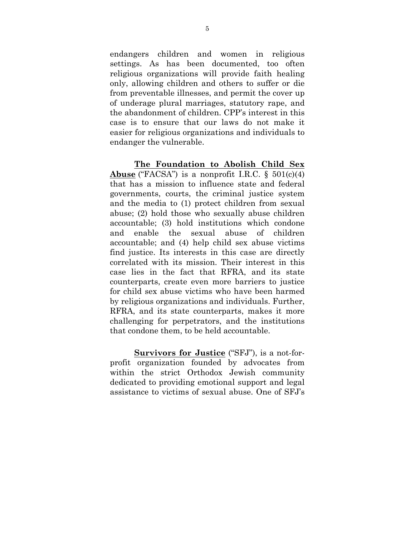endangers children and women in religious settings. As has been documented, too often religious organizations will provide faith healing only, allowing children and others to suffer or die from preventable illnesses, and permit the cover up of underage plural marriages, statutory rape, and the abandonment of children. CPP's interest in this case is to ensure that our laws do not make it easier for religious organizations and individuals to endanger the vulnerable.

**The Foundation to Abolish Child Sex Abuse** ("FACSA") is a nonprofit I.R.C. § 501(c)(4) that has a mission to influence state and federal governments, courts, the criminal justice system and the media to (1) protect children from sexual abuse; (2) hold those who sexually abuse children accountable; (3) hold institutions which condone and enable the sexual abuse of children accountable; and (4) help child sex abuse victims find justice. Its interests in this case are directly correlated with its mission. Their interest in this case lies in the fact that RFRA, and its state counterparts, create even more barriers to justice for child sex abuse victims who have been harmed by religious organizations and individuals. Further, RFRA, and its state counterparts, makes it more challenging for perpetrators, and the institutions that condone them, to be held accountable.

**Survivors for Justice** ("SFJ"), is a not-forprofit organization founded by advocates from within the strict Orthodox Jewish community dedicated to providing emotional support and legal assistance to victims of sexual abuse. One of SFJ's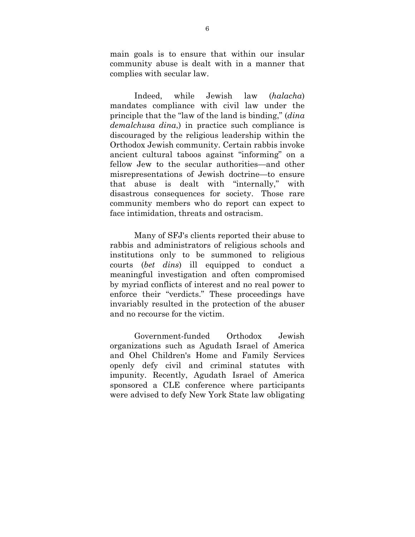main goals is to ensure that within our insular community abuse is dealt with in a manner that complies with secular law.

Indeed, while Jewish law (*halacha*) mandates compliance with civil law under the principle that the "law of the land is binding," (*dina demalchusa dina*,) in practice such compliance is discouraged by the religious leadership within the Orthodox Jewish community. Certain rabbis invoke ancient cultural taboos against "informing" on a fellow Jew to the secular authorities—and other misrepresentations of Jewish doctrine—to ensure that abuse is dealt with "internally," with disastrous consequences for society. Those rare community members who do report can expect to face intimidation, threats and ostracism.

Many of SFJ's clients reported their abuse to rabbis and administrators of religious schools and institutions only to be summoned to religious courts (*bet dins*) ill equipped to conduct a meaningful investigation and often compromised by myriad conflicts of interest and no real power to enforce their "verdicts." These proceedings have invariably resulted in the protection of the abuser and no recourse for the victim.

Government-funded Orthodox Jewish organizations such as Agudath Israel of America and Ohel Children's Home and Family Services openly defy civil and criminal statutes with impunity. Recently, Agudath Israel of America sponsored a CLE conference where participants were advised to defy New York State law obligating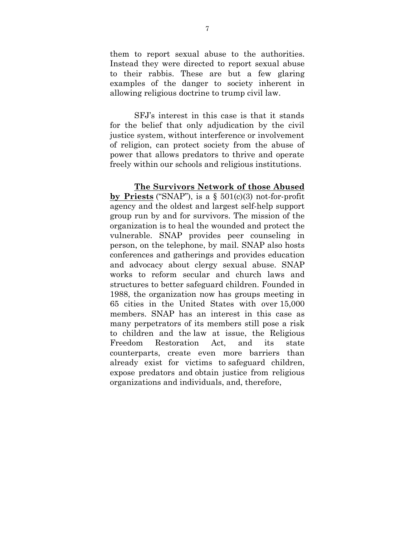them to report sexual abuse to the authorities. Instead they were directed to report sexual abuse to their rabbis. These are but a few glaring examples of the danger to society inherent in allowing religious doctrine to trump civil law.

SFJ's interest in this case is that it stands for the belief that only adjudication by the civil justice system, without interference or involvement of religion, can protect society from the abuse of power that allows predators to thrive and operate freely within our schools and religious institutions.

**The Survivors Network of those Abused by Priests** ("SNAP"), is a § 501(c)(3) not-for-profit agency and the oldest and largest self-help support group run by and for survivors. The mission of the organization is to heal the wounded and protect the vulnerable. SNAP provides peer counseling in person, on the telephone, by mail. SNAP also hosts conferences and gatherings and provides education and advocacy about clergy sexual abuse. SNAP works to reform secular and church laws and structures to better safeguard children. Founded in 1988, the organization now has groups meeting in 65 cities in the United States with over 15,000 members. SNAP has an interest in this case as many perpetrators of its members still pose a risk to children and the law at issue, the Religious Freedom Restoration Act, and its state counterparts, create even more barriers than already exist for victims to safeguard children, expose predators and obtain justice from religious organizations and individuals, and, therefore,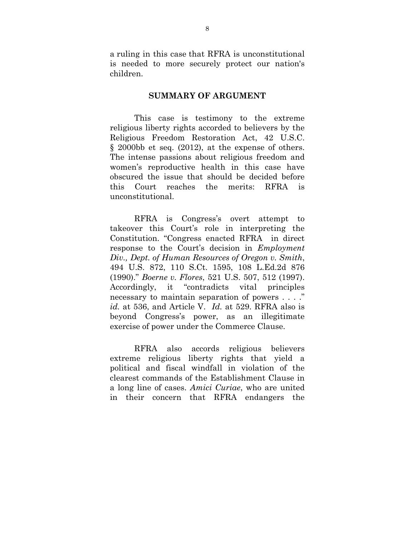a ruling in this case that RFRA is unconstitutional is needed to more securely protect our nation's children.

#### **SUMMARY OF ARGUMENT**

This case is testimony to the extreme religious liberty rights accorded to believers by the Religious Freedom Restoration Act, 42 U.S.C. § 2000bb et seq. (2012), at the expense of others. The intense passions about religious freedom and women's reproductive health in this case have obscured the issue that should be decided before this Court reaches the merits: RFRA is unconstitutional.

RFRA is Congress's overt attempt to takeover this Court's role in interpreting the Constitution. "Congress enacted RFRA in direct response to the Court's decision in *Employment Div., Dept. of Human Resources of Oregon v. Smith*, 494 U.S. 872, 110 S.Ct. 1595, 108 L.Ed.2d 876 (1990)." *Boerne v. Flores*, 521 U.S. 507, 512 (1997). Accordingly, it "contradicts vital principles necessary to maintain separation of powers . . . ." *id.* at 536, and Article V. *Id.* at 529. RFRA also is beyond Congress's power, as an illegitimate exercise of power under the Commerce Clause.

RFRA also accords religious believers extreme religious liberty rights that yield a political and fiscal windfall in violation of the clearest commands of the Establishment Clause in a long line of cases. *Amici Curiae*, who are united in their concern that RFRA endangers the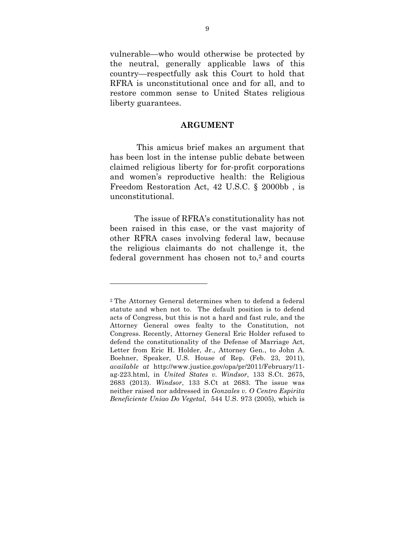vulnerable—who would otherwise be protected by the neutral, generally applicable laws of this country—respectfully ask this Court to hold that RFRA is unconstitutional once and for all, and to restore common sense to United States religious liberty guarantees.

#### **ARGUMENT**

This amicus brief makes an argument that has been lost in the intense public debate between claimed religious liberty for for-profit corporations and women's reproductive health: the Religious Freedom Restoration Act, 42 U.S.C. § 2000bb , is unconstitutional.

The issue of RFRA's constitutionality has not been raised in this case, or the vast majority of other RFRA cases involving federal law, because the religious claimants do not challenge it, the federal government has chosen not  $to$ ,  $2$  and courts

 

<sup>2</sup> The Attorney General determines when to defend a federal statute and when not to. The default position is to defend acts of Congress, but this is not a hard and fast rule, and the Attorney General owes fealty to the Constitution, not Congress. Recently, Attorney General Eric Holder refused to defend the constitutionality of the Defense of Marriage Act, Letter from Eric H. Holder, Jr., Attorney Gen., to John A. Boehner, Speaker, U.S. House of Rep. (Feb. 23, 2011), *available at* http://www.justice.gov/opa/pr/2011/February/11 ag-223.html, in *United States v. Windsor*, 133 S.Ct. 2675, 2683 (2013). *Windsor*, 133 S.Ct at 2683. The issue was neither raised nor addressed in *Gonzales v. O Centro Espirita Beneficiente Uniao Do Vegetal*, 544 U.S. 973 (2005), which is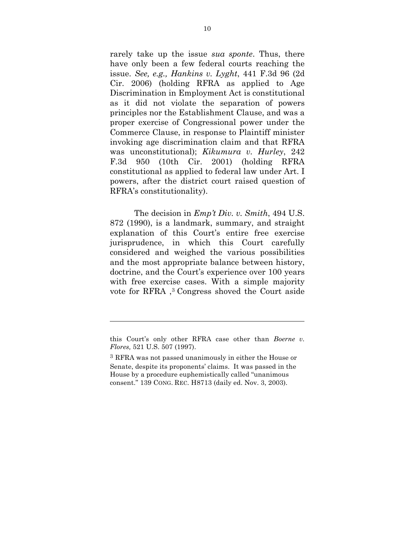rarely take up the issue *sua sponte*. Thus, there have only been a few federal courts reaching the issue. *See, e.g., Hankins v. Lyght*, 441 F.3d 96 (2d Cir. 2006) (holding RFRA as applied to Age Discrimination in Employment Act is constitutional as it did not violate the separation of powers principles nor the Establishment Clause, and was a proper exercise of Congressional power under the Commerce Clause, in response to Plaintiff minister invoking age discrimination claim and that RFRA was unconstitutional); *Kikumura v. Hurley*, 242 F.3d 950 (10th Cir. 2001) (holding RFRA constitutional as applied to federal law under Art. I powers, after the district court raised question of RFRA's constitutionality).

The decision in *Emp't Div. v. Smith*, 494 U.S. 872 (1990), is a landmark, summary, and straight explanation of this Court's entire free exercise jurisprudence, in which this Court carefully considered and weighed the various possibilities and the most appropriate balance between history, doctrine, and the Court's experience over 100 years with free exercise cases. With a simple majority vote for RFRA ,3 Congress shoved the Court aside

<u> 1989 - Andrea Stadt, fransk politiker (d. 1989)</u>

this Court's only other RFRA case other than *Boerne v. Flores,* 521 U.S. 507 (1997).

<sup>3</sup> RFRA was not passed unanimously in either the House or Senate, despite its proponents' claims. It was passed in the House by a procedure euphemistically called "unanimous consent." 139 CONG. REC. H8713 (daily ed. Nov. 3, 2003).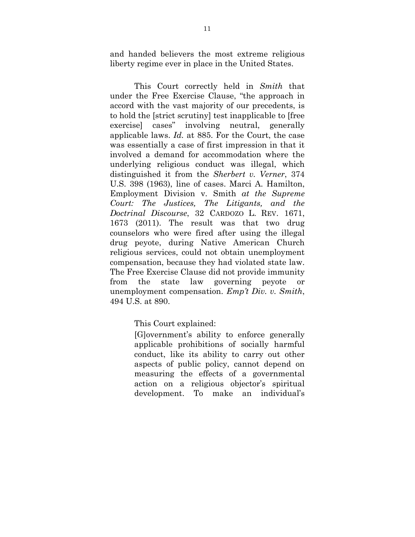and handed believers the most extreme religious liberty regime ever in place in the United States.

This Court correctly held in *Smith* that under the Free Exercise Clause, "the approach in accord with the vast majority of our precedents, is to hold the [strict scrutiny] test inapplicable to [free exercise] cases" involving neutral, generally applicable laws. *Id.* at 885. For the Court, the case was essentially a case of first impression in that it involved a demand for accommodation where the underlying religious conduct was illegal, which distinguished it from the *Sherbert v. Verner*, 374 U.S. 398 (1963), line of cases. Marci A. Hamilton, Employment Division v. Smith *at the Supreme Court: The Justices, The Litigants, and the Doctrinal Discourse*, 32 CARDOZO L. REV. 1671, 1673 (2011). The result was that two drug counselors who were fired after using the illegal drug peyote, during Native American Church religious services, could not obtain unemployment compensation, because they had violated state law. The Free Exercise Clause did not provide immunity from the state law governing peyote or unemployment compensation. *Emp't Div. v. Smith*, 494 U.S. at 890.

This Court explained:

[G]overnment's ability to enforce generally applicable prohibitions of socially harmful conduct, like its ability to carry out other aspects of public policy, cannot depend on measuring the effects of a governmental action on a religious objector's spiritual development. To make an individual's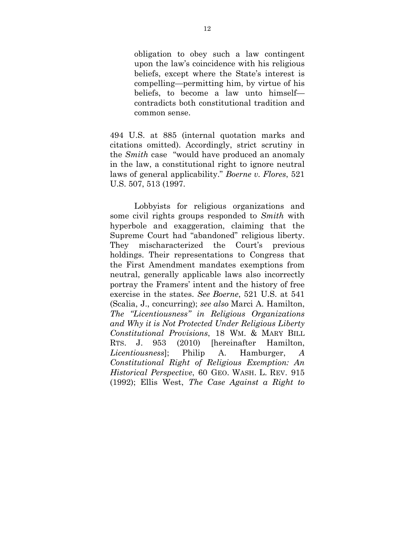obligation to obey such a law contingent upon the law's coincidence with his religious beliefs, except where the State's interest is compelling—permitting him, by virtue of his beliefs, to become a law unto himself contradicts both constitutional tradition and common sense.

494 U.S. at 885 (internal quotation marks and citations omitted). Accordingly, strict scrutiny in the *Smith* case "would have produced an anomaly in the law, a constitutional right to ignore neutral laws of general applicability." *Boerne v. Flores*, 521 U.S. 507, 513 (1997.

Lobbyists for religious organizations and some civil rights groups responded to *Smith* with hyperbole and exaggeration, claiming that the Supreme Court had "abandoned" religious liberty. They mischaracterized the Court's previous holdings. Their representations to Congress that the First Amendment mandates exemptions from neutral, generally applicable laws also incorrectly portray the Framers' intent and the history of free exercise in the states. *See Boerne*, 521 U.S. at 541 (Scalia, J., concurring); *see also* Marci A. Hamilton, *The "Licentiousness" in Religious Organizations and Why it is Not Protected Under Religious Liberty Constitutional Provisions*, 18 WM. & MARY BILL RTS. J. 953 (2010) [hereinafter Hamilton, *Licentiousness*]; Philip A. Hamburger, *A Constitutional Right of Religious Exemption: An Historical Perspective*, 60 GEO. WASH. L. REV. 915 (1992); Ellis West, *The Case Against a Right to*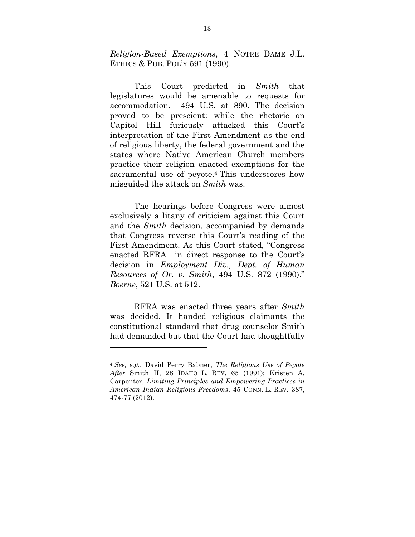*Religion-Based Exemptions*, 4 NOTRE DAME J.L. ETHICS & PUB. POL'Y 591 (1990).

This Court predicted in *Smith* that legislatures would be amenable to requests for accommodation. 494 U.S. at 890. The decision proved to be prescient: while the rhetoric on Capitol Hill furiously attacked this Court's interpretation of the First Amendment as the end of religious liberty, the federal government and the states where Native American Church members practice their religion enacted exemptions for the sacramental use of peyote.4 This underscores how misguided the attack on *Smith* was.

The hearings before Congress were almost exclusively a litany of criticism against this Court and the *Smith* decision, accompanied by demands that Congress reverse this Court's reading of the First Amendment. As this Court stated, "Congress enacted RFRA in direct response to the Court's decision in *Employment Div., Dept. of Human Resources of Or. v. Smith*, 494 U.S. 872 (1990)." *Boerne*, 521 U.S. at 512.

RFRA was enacted three years after *Smith* was decided. It handed religious claimants the constitutional standard that drug counselor Smith had demanded but that the Court had thoughtfully

 

<sup>4</sup> *See, e.g.*, David Perry Babner, *The Religious Use of Peyote After* Smith II, 28 IDAHO L. REV. 65 (1991); Kristen A. Carpenter, *Limiting Principles and Empowering Practices in American Indian Religious Freedoms*, 45 CONN. L. REV. 387, 474-77 (2012).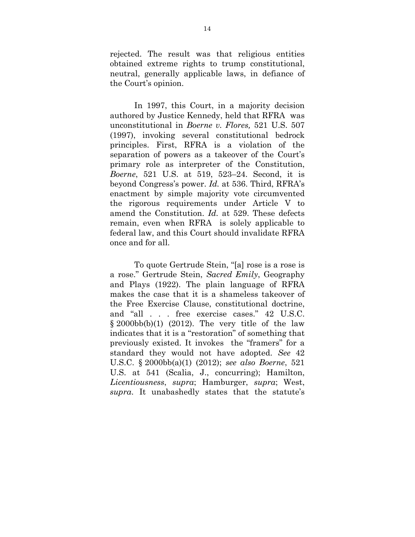rejected. The result was that religious entities obtained extreme rights to trump constitutional, neutral, generally applicable laws, in defiance of the Court's opinion.

In 1997, this Court, in a majority decision authored by Justice Kennedy, held that RFRA was unconstitutional in *Boerne v. Flores,* 521 U.S. 507 (1997), invoking several constitutional bedrock principles. First, RFRA is a violation of the separation of powers as a takeover of the Court's primary role as interpreter of the Constitution, *Boerne*, 521 U.S. at 519, 523–24. Second, it is beyond Congress's power. *Id.* at 536. Third, RFRA's enactment by simple majority vote circumvented the rigorous requirements under Article V to amend the Constitution. *Id.* at 529. These defects remain, even when RFRA is solely applicable to federal law, and this Court should invalidate RFRA once and for all.

To quote Gertrude Stein, "[a] rose is a rose is a rose." Gertrude Stein, *Sacred Emily*, Geography and Plays (1922). The plain language of RFRA makes the case that it is a shameless takeover of the Free Exercise Clause, constitutional doctrine, and "all . . . free exercise cases." 42 U.S.C.  $\S 2000bb(b)(1)$  (2012). The very title of the law indicates that it is a "restoration" of something that previously existed. It invokes the "framers" for a standard they would not have adopted. *See* 42 U.S.C. § 2000bb(a)(1) (2012); *see also Boerne*, 521 U.S. at 541 (Scalia, J., concurring); Hamilton, *Licentiousness*, *supra*; Hamburger, *supra*; West, *supra*. It unabashedly states that the statute's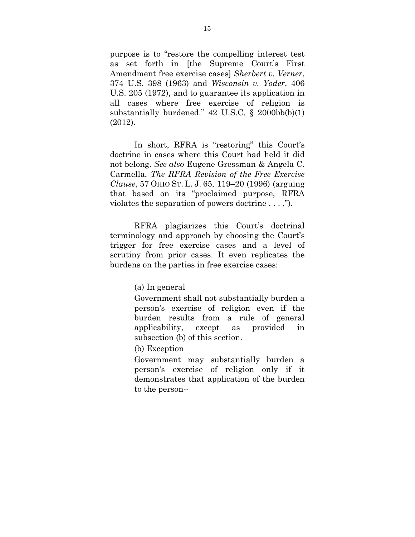purpose is to "restore the compelling interest test as set forth in [the Supreme Court's First Amendment free exercise cases] *Sherbert v. Verner*, 374 U.S. 398 (1963) and *Wisconsin v. Yoder*, 406 U.S. 205 (1972), and to guarantee its application in all cases where free exercise of religion is substantially burdened."  $42 \text{ U.S.C. }$  §  $2000 \text{ b(b)}(1)$ (2012).

In short, RFRA is "restoring" this Court's doctrine in cases where this Court had held it did not belong. *See also* Eugene Gressman & Angela C. Carmella, *The RFRA Revision of the Free Exercise Clause*, 57 OHIO ST. L. J. 65, 119–20 (1996) (arguing that based on its "proclaimed purpose, RFRA violates the separation of powers doctrine . . . .").

RFRA plagiarizes this Court's doctrinal terminology and approach by choosing the Court's trigger for free exercise cases and a level of scrutiny from prior cases. It even replicates the burdens on the parties in free exercise cases:

(a) In general

Government shall not substantially burden a person's exercise of religion even if the burden results from a rule of general applicability, except as provided in subsection (b) of this section.

(b) Exception

Government may substantially burden a person's exercise of religion only if it demonstrates that application of the burden to the person--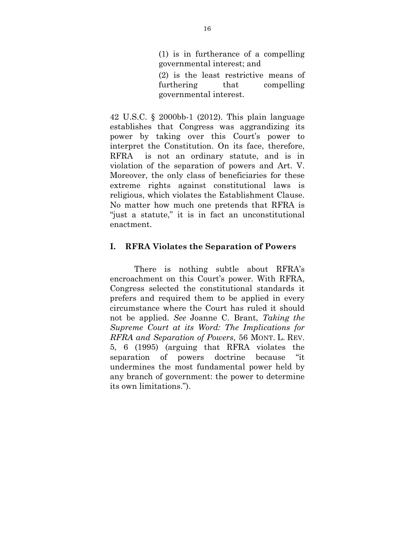(1) is in furtherance of a compelling governmental interest; and (2) is the least restrictive means of furthering that compelling

42 U.S.C. § 2000bb-1 (2012). This plain language establishes that Congress was aggrandizing its power by taking over this Court's power to interpret the Constitution. On its face, therefore, RFRA is not an ordinary statute, and is in violation of the separation of powers and Art. V. Moreover, the only class of beneficiaries for these extreme rights against constitutional laws is religious, which violates the Establishment Clause. No matter how much one pretends that RFRA is "just a statute," it is in fact an unconstitutional enactment.

#### **I. RFRA Violates the Separation of Powers**

There is nothing subtle about RFRA's encroachment on this Court's power. With RFRA, Congress selected the constitutional standards it prefers and required them to be applied in every circumstance where the Court has ruled it should not be applied. *See* Joanne C. Brant, *Taking the Supreme Court at its Word: The Implications for RFRA and Separation of Powers*, 56 MONT. L. REV. 5, 6 (1995) (arguing that RFRA violates the separation of powers doctrine because "it undermines the most fundamental power held by any branch of government: the power to determine its own limitations.").

governmental interest.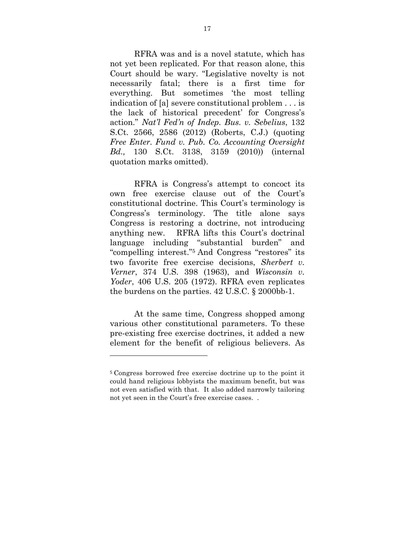RFRA was and is a novel statute, which has not yet been replicated. For that reason alone, this Court should be wary. "Legislative novelty is not necessarily fatal; there is a first time for everything. But sometimes 'the most telling indication of [a] severe constitutional problem . . . is the lack of historical precedent' for Congress's action." *Nat'l Fed'n of Indep. Bus. v. Sebelius*, 132 S.Ct. 2566, 2586 (2012) (Roberts, C.J.) (quoting *Free Enter. Fund v. Pub. Co. Accounting Oversight Bd.,* 130 S.Ct. 3138, 3159 (2010)) (internal quotation marks omitted).

RFRA is Congress's attempt to concoct its own free exercise clause out of the Court's constitutional doctrine. This Court's terminology is Congress's terminology. The title alone says Congress is restoring a doctrine, not introducing anything new. RFRA lifts this Court's doctrinal language including "substantial burden" and "compelling interest."5 And Congress "restores" its two favorite free exercise decisions, *Sherbert v. Verner*, 374 U.S. 398 (1963), and *Wisconsin v. Yoder*, 406 U.S. 205 (1972). RFRA even replicates the burdens on the parties. 42 U.S.C. § 2000bb-1.

At the same time, Congress shopped among various other constitutional parameters. To these pre-existing free exercise doctrines, it added a new element for the benefit of religious believers. As

 

<sup>5</sup> Congress borrowed free exercise doctrine up to the point it could hand religious lobbyists the maximum benefit, but was not even satisfied with that. It also added narrowly tailoring not yet seen in the Court's free exercise cases. .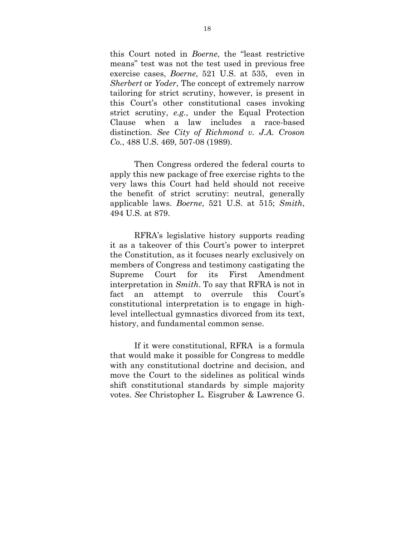this Court noted in *Boerne*, the "least restrictive means" test was not the test used in previous free exercise cases, *Boerne*, 521 U.S. at 535, even in *Sherbert* or *Yoder*, The concept of extremely narrow tailoring for strict scrutiny, however, is present in this Court's other constitutional cases invoking strict scrutiny, *e.g.*, under the Equal Protection Clause when a law includes a race-based distinction. *See City of Richmond v. J.A. Croson Co.*, 488 U.S. 469, 507-08 (1989).

Then Congress ordered the federal courts to apply this new package of free exercise rights to the very laws this Court had held should not receive the benefit of strict scrutiny: neutral, generally applicable laws. *Boerne*, 521 U.S. at 515; *Smith*, 494 U.S. at 879.

RFRA's legislative history supports reading it as a takeover of this Court's power to interpret the Constitution, as it focuses nearly exclusively on members of Congress and testimony castigating the Supreme Court for its First Amendment interpretation in *Smith*. To say that RFRA is not in fact an attempt to overrule this Court's constitutional interpretation is to engage in highlevel intellectual gymnastics divorced from its text, history, and fundamental common sense.

If it were constitutional, RFRA is a formula that would make it possible for Congress to meddle with any constitutional doctrine and decision, and move the Court to the sidelines as political winds shift constitutional standards by simple majority votes. *See* Christopher L. Eisgruber & Lawrence G.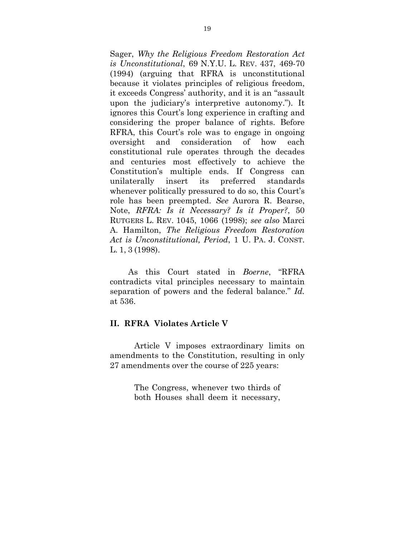Sager, *Why the Religious Freedom Restoration Act is Unconstitutional*, 69 N.Y.U. L. REV. 437, 469-70 (1994) (arguing that RFRA is unconstitutional because it violates principles of religious freedom, it exceeds Congress' authority, and it is an "assault upon the judiciary's interpretive autonomy."). It ignores this Court's long experience in crafting and considering the proper balance of rights. Before RFRA, this Court's role was to engage in ongoing oversight and consideration of how each constitutional rule operates through the decades and centuries most effectively to achieve the Constitution's multiple ends. If Congress can unilaterally insert its preferred standards whenever politically pressured to do so, this Court's role has been preempted. *See* Aurora R. Bearse, Note, *RFRA: Is it Necessary? Is it Proper?*, 50 RUTGERS L. REV. 1045, 1066 (1998); *see also* Marci A. Hamilton, *The Religious Freedom Restoration Act is Unconstitutional, Period*, 1 U. PA. J. CONST. L. 1, 3 (1998).

As this Court stated in *Boerne*, "RFRA contradicts vital principles necessary to maintain separation of powers and the federal balance." *Id.* at 536.

#### **II. RFRA Violates Article V**

Article V imposes extraordinary limits on amendments to the Constitution, resulting in only 27 amendments over the course of 225 years:

> The Congress, whenever two thirds of both Houses shall deem it necessary,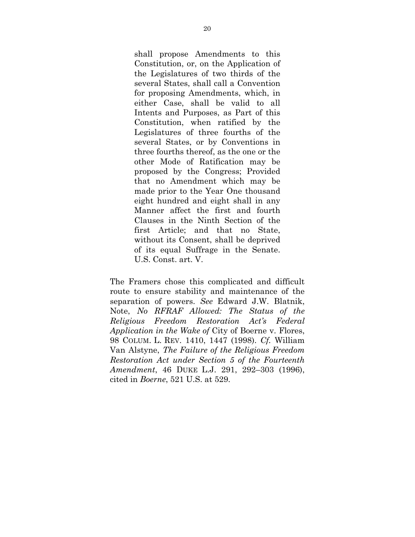shall propose Amendments to this Constitution, or, on the Application of the Legislatures of two thirds of the several States, shall call a Convention for proposing Amendments, which, in either Case, shall be valid to all Intents and Purposes, as Part of this Constitution, when ratified by the Legislatures of three fourths of the several States, or by Conventions in three fourths thereof, as the one or the other Mode of Ratification may be proposed by the Congress; Provided that no Amendment which may be made prior to the Year One thousand eight hundred and eight shall in any Manner affect the first and fourth Clauses in the Ninth Section of the first Article; and that no State, without its Consent, shall be deprived of its equal Suffrage in the Senate. U.S. Const. art. V.

The Framers chose this complicated and difficult route to ensure stability and maintenance of the separation of powers. *See* Edward J.W. Blatnik, Note, *No RFRAF Allowed: The Status of the Religious Freedom Restoration Act's Federal Application in the Wake of* City of Boerne v. Flores, 98 COLUM. L. REV. 1410, 1447 (1998). *Cf.* William Van Alstyne, *The Failure of the Religious Freedom Restoration Act under Section 5 of the Fourteenth Amendment*, 46 DUKE L.J. 291, 292–303 (1996), cited in *Boerne*, 521 U.S. at 529.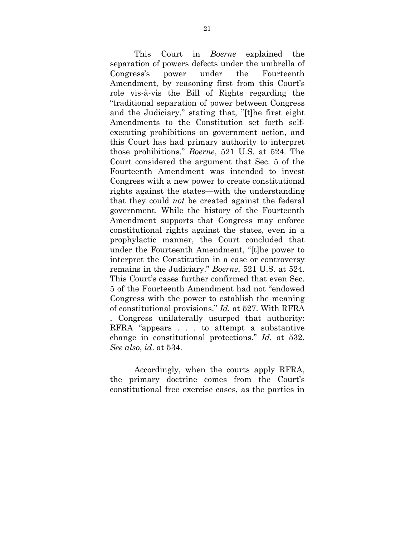This Court in *Boerne* explained the separation of powers defects under the umbrella of Congress's power under the Fourteenth Amendment, by reasoning first from this Court's role vis-à-vis the Bill of Rights regarding the "traditional separation of power between Congress and the Judiciary," stating that, "[t]he first eight Amendments to the Constitution set forth selfexecuting prohibitions on government action, and this Court has had primary authority to interpret those prohibitions." *Boerne*, 521 U.S. at 524. The Court considered the argument that Sec. 5 of the Fourteenth Amendment was intended to invest Congress with a new power to create constitutional rights against the states—with the understanding that they could *not* be created against the federal government. While the history of the Fourteenth Amendment supports that Congress may enforce constitutional rights against the states, even in a prophylactic manner, the Court concluded that under the Fourteenth Amendment, "[t]he power to interpret the Constitution in a case or controversy remains in the Judiciary." *Boerne*, 521 U.S. at 524. This Court's cases further confirmed that even Sec. 5 of the Fourteenth Amendment had not "endowed Congress with the power to establish the meaning of constitutional provisions." *Id.* at 527. With RFRA , Congress unilaterally usurped that authority: RFRA "appears . . . to attempt a substantive change in constitutional protections." *Id.* at 532. *See also*, *id*. at 534.

Accordingly, when the courts apply RFRA, the primary doctrine comes from the Court's constitutional free exercise cases, as the parties in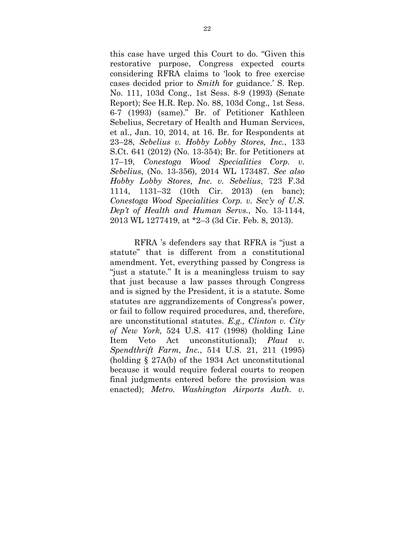this case have urged this Court to do. "Given this restorative purpose, Congress expected courts considering RFRA claims to 'look to free exercise cases decided prior to *Smith* for guidance.' S. Rep. No. 111, 103d Cong., 1st Sess. 8-9 (1993) (Senate Report); See H.R. Rep. No. 88, 103d Cong., 1st Sess. 6-7 (1993) (same)." Br. of Petitioner Kathleen Sebelius, Secretary of Health and Human Services, et al., Jan. 10, 2014, at 16. Br. for Respondents at 23–28, *Sebelius v. Hobby Lobby Stores, Inc.*, 133 S.Ct. 641 (2012) (No. 13-354); Br. for Petitioners at 17–19, *Conestoga Wood Specialities Corp. v. Sebelius*, (No. 13-356), 2014 WL 173487. *See also Hobby Lobby Stores, Inc. v. Sebelius*, 723 F.3d 1114, 1131–32 (10th Cir. 2013) (en banc); *Conestoga Wood Specialities Corp. v. Sec'y of U.S. Dep't of Health and Human Servs.*, No. 13-1144, 2013 WL 1277419, at \*2–3 (3d Cir. Feb. 8, 2013).

RFRA 's defenders say that RFRA is "just a statute" that is different from a constitutional amendment. Yet, everything passed by Congress is "just a statute." It is a meaningless truism to say that just because a law passes through Congress and is signed by the President, it is a statute. Some statutes are aggrandizements of Congress's power, or fail to follow required procedures, and, therefore, are unconstitutional statutes. *E.g., Clinton v. City of New York,* 524 U.S. 417 (1998) (holding Line Item Veto Act unconstitutional); *Plaut v. Spendthrift Farm, Inc.*, 514 U.S. 21, 211 (1995) (holding § 27A(b) of the 1934 Act unconstitutional because it would require federal courts to reopen final judgments entered before the provision was enacted); *Metro. Washington Airports Auth. v.*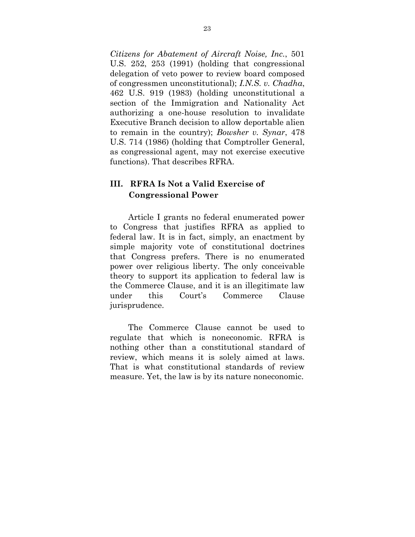*Citizens for Abatement of Aircraft Noise, Inc.*, 501 U.S. 252, 253 (1991) (holding that congressional delegation of veto power to review board composed of congressmen unconstitutional); *I.N.S. v. Chadha*, 462 U.S. 919 (1983) (holding unconstitutional a section of the Immigration and Nationality Act authorizing a one-house resolution to invalidate Executive Branch decision to allow deportable alien to remain in the country); *Bowsher v. Synar*, 478 U.S. 714 (1986) (holding that Comptroller General, as congressional agent, may not exercise executive functions). That describes RFRA.

### **III. RFRA Is Not a Valid Exercise of Congressional Power**

Article I grants no federal enumerated power to Congress that justifies RFRA as applied to federal law. It is in fact, simply, an enactment by simple majority vote of constitutional doctrines that Congress prefers. There is no enumerated power over religious liberty. The only conceivable theory to support its application to federal law is the Commerce Clause, and it is an illegitimate law under this Court's Commerce Clause jurisprudence.

The Commerce Clause cannot be used to regulate that which is noneconomic. RFRA is nothing other than a constitutional standard of review, which means it is solely aimed at laws. That is what constitutional standards of review measure. Yet, the law is by its nature noneconomic.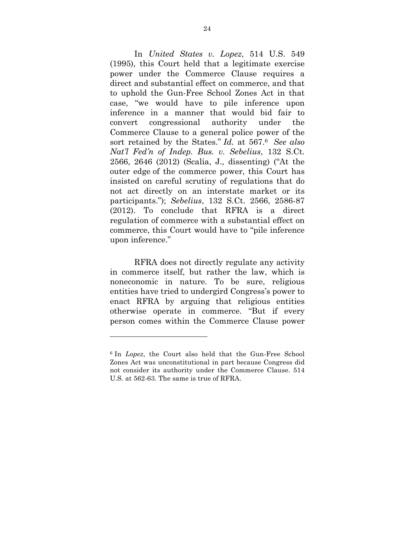In *United States v. Lopez*, 514 U.S. 549 (1995), this Court held that a legitimate exercise power under the Commerce Clause requires a direct and substantial effect on commerce, and that to uphold the Gun-Free School Zones Act in that case, "we would have to pile inference upon inference in a manner that would bid fair to convert congressional authority under the Commerce Clause to a general police power of the sort retained by the States." *Id.* at 567.6 *See also Nat'l Fed'n of Indep. Bus. v. Sebelius*, 132 S.Ct. 2566, 2646 (2012) (Scalia, J., dissenting) ("At the outer edge of the commerce power, this Court has insisted on careful scrutiny of regulations that do not act directly on an interstate market or its participants."); *Sebelius*, 132 S.Ct. 2566, 2586-87 (2012). To conclude that RFRA is a direct regulation of commerce with a substantial effect on commerce, this Court would have to "pile inference upon inference."

RFRA does not directly regulate any activity in commerce itself, but rather the law, which is noneconomic in nature. To be sure, religious entities have tried to undergird Congress's power to enact RFRA by arguing that religious entities otherwise operate in commerce. "But if every person comes within the Commerce Clause power

 

<sup>6</sup> In *Lopez*, the Court also held that the Gun-Free School Zones Act was unconstitutional in part because Congress did not consider its authority under the Commerce Clause. 514 U.S*.* at 562-63. The same is true of RFRA.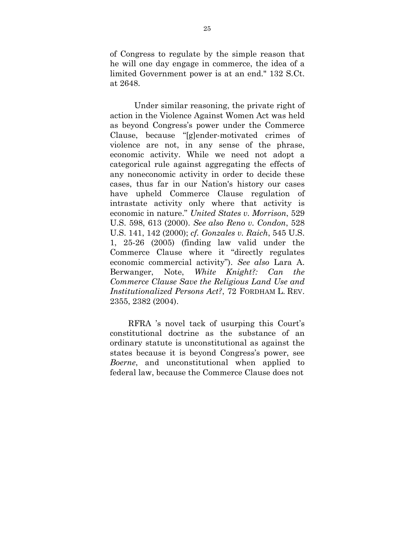of Congress to regulate by the simple reason that he will one day engage in commerce, the idea of a limited Government power is at an end." 132 S.Ct. at 2648.

Under similar reasoning, the private right of action in the Violence Against Women Act was held as beyond Congress's power under the Commerce Clause, because "[g]ender-motivated crimes of violence are not, in any sense of the phrase, economic activity. While we need not adopt a categorical rule against aggregating the effects of any noneconomic activity in order to decide these cases, thus far in our Nation's history our cases have upheld Commerce Clause regulation of intrastate activity only where that activity is economic in nature." *United States v. Morrison*, 529 U.S. 598, 613 (2000). *See also Reno v. Condon*, 528 U.S. 141, 142 (2000); *cf. Gonzales v. Raich*, 545 U.S. 1, 25-26 (2005) (finding law valid under the Commerce Clause where it "directly regulates economic commercial activity"). *See also* Lara A. Berwanger, Note, *White Knight?: Can the Commerce Clause Save the Religious Land Use and Institutionalized Persons Act?*, 72 FORDHAM L. REV. 2355, 2382 (2004).

RFRA 's novel tack of usurping this Court's constitutional doctrine as the substance of an ordinary statute is unconstitutional as against the states because it is beyond Congress's power, see *Boerne*, and unconstitutional when applied to federal law, because the Commerce Clause does not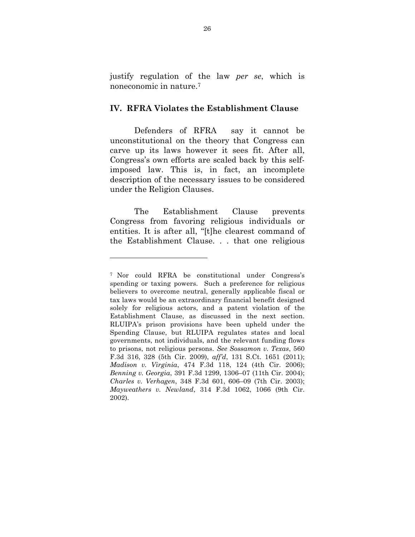justify regulation of the law *per se*, which is noneconomic in nature.7

#### **IV. RFRA Violates the Establishment Clause**

Defenders of RFRA say it cannot be unconstitutional on the theory that Congress can carve up its laws however it sees fit. After all, Congress's own efforts are scaled back by this selfimposed law. This is, in fact, an incomplete description of the necessary issues to be considered under the Religion Clauses.

The Establishment Clause prevents Congress from favoring religious individuals or entities. It is after all, "[t]he clearest command of the Establishment Clause. . . that one religious

 

<sup>7</sup> Nor could RFRA be constitutional under Congress's spending or taxing powers. Such a preference for religious believers to overcome neutral, generally applicable fiscal or tax laws would be an extraordinary financial benefit designed solely for religious actors, and a patent violation of the Establishment Clause, as discussed in the next section. RLUIPA's prison provisions have been upheld under the Spending Clause, but RLUIPA regulates states and local governments, not individuals, and the relevant funding flows to prisons, not religious persons. *See Sossamon v. Texas*, 560 F.3d 316, 328 (5th Cir. 2009), *aff'd*, 131 S.Ct. 1651 (2011); *Madison v. Virginia*, 474 F.3d 118, 124 (4th Cir. 2006); *Benning v. Georgia*, 391 F.3d 1299, 1306–07 (11th Cir. 2004); *Charles v. Verhagen*, 348 F.3d 601, 606–09 (7th Cir. 2003); *Mayweathers v. Newland*, 314 F.3d 1062, 1066 (9th Cir. 2002).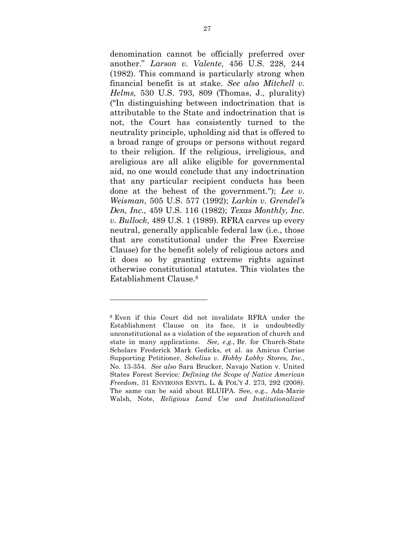denomination cannot be officially preferred over another." *Larson v. Valente*, 456 U.S. 228, 244 (1982). This command is particularly strong when financial benefit is at stake. *See also Mitchell v. Helms,* 530 U.S. 793, 809 (Thomas, J., plurality) ("In distinguishing between indoctrination that is attributable to the State and indoctrination that is not, the Court has consistently turned to the neutrality principle, upholding aid that is offered to a broad range of groups or persons without regard to their religion. If the religious, irreligious, and areligious are all alike eligible for governmental aid, no one would conclude that any indoctrination that any particular recipient conducts has been done at the behest of the government."); *Lee v. Weisman*, 505 U.S. 577 (1992); *Larkin v. Grendel's Den, Inc.*, 459 U.S. 116 (1982); *Texas Monthly, Inc. v. Bullock*, 489 U.S. 1 (1989). RFRA carves up every neutral, generally applicable federal law (i.e., those that are constitutional under the Free Exercise Clause) for the benefit solely of religious actors and it does so by granting extreme rights against otherwise constitutional statutes. This violates the Establishment Clause.8

 

<sup>8</sup> Even if this Court did not invalidate RFRA under the Establishment Clause on its face, it is undoubtedly unconstitutional as a violation of the separation of church and state in many applications. *See, e.g.,* Br. for Church-State Scholars Frederick Mark Gedicks, et al. as Amicus Curiae Supporting Petitioner, *Sebelius v. Hobby Lobby Stores, Inc.*, No. 13-354. *See also* Sara Brucker, Navajo Nation v. United States Forest Service*: Defining the Scope of Native American Freedom,* 31 ENVIRONS ENVTL. L. & POL'Y J. 273, 292 (2008). The same can be said about RLUIPA. See, e.g., Ada-Marie Walsh, Note, *Religious Land Use and Institutionalized*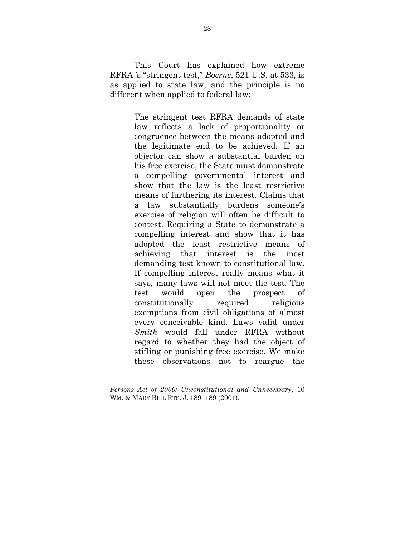This Court has explained how extreme RFRA 's "stringent test," *Boerne*, 521 U.S. at 533, is as applied to state law, and the principle is no different when applied to federal law:

> The stringent test RFRA demands of state law reflects a lack of proportionality or congruence between the means adopted and the legitimate end to be achieved. If an objector can show a substantial burden on his free exercise, the State must demonstrate a compelling governmental interest and show that the law is the least restrictive means of furthering its interest. Claims that a law substantially burdens someone's exercise of religion will often be difficult to contest. Requiring a State to demonstrate a compelling interest and show that it has adopted the least restrictive means of achieving that interest is the most demanding test known to constitutional law. If compelling interest really means what it says, many laws will not meet the test. The test would open the prospect of constitutionally required religious exemptions from civil obligations of almost every conceivable kind. Laws valid under *Smith* would fall under RFRA without regard to whether they had the object of stifling or punishing free exercise. We make these observations not to reargue the

<u> 1989 - Andrea Stadt, fransk politiker (d. 1989)</u>

*Persons Act of 2000: Unconstitutional and Unnecessary*, 10 WM. & MARY BILL RTS. J. 189, 189 (2001).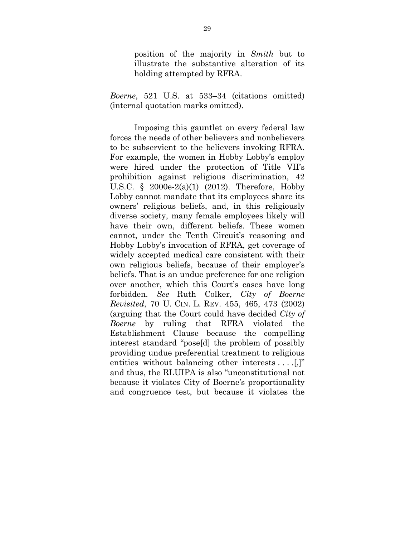position of the majority in *Smith* but to illustrate the substantive alteration of its holding attempted by RFRA.

*Boerne*, 521 U.S. at 533–34 (citations omitted) (internal quotation marks omitted).

Imposing this gauntlet on every federal law forces the needs of other believers and nonbelievers to be subservient to the believers invoking RFRA. For example, the women in Hobby Lobby's employ were hired under the protection of Title VII's prohibition against religious discrimination, 42 U.S.C. § 2000e-2(a)(1) (2012). Therefore, Hobby Lobby cannot mandate that its employees share its owners' religious beliefs, and, in this religiously diverse society, many female employees likely will have their own, different beliefs. These women cannot, under the Tenth Circuit's reasoning and Hobby Lobby's invocation of RFRA, get coverage of widely accepted medical care consistent with their own religious beliefs, because of their employer's beliefs. That is an undue preference for one religion over another, which this Court's cases have long forbidden. *See* Ruth Colker, *City of Boerne Revisited*, 70 U. CIN. L. REV. 455, 465, 473 (2002) (arguing that the Court could have decided *City of Boerne* by ruling that RFRA violated the Establishment Clause because the compelling interest standard "pose[d] the problem of possibly providing undue preferential treatment to religious entities without balancing other interests . . . .[,]" and thus, the RLUIPA is also "unconstitutional not because it violates City of Boerne's proportionality and congruence test, but because it violates the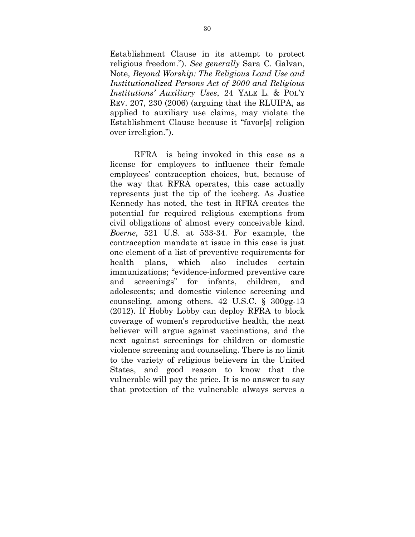Establishment Clause in its attempt to protect religious freedom."). *See generally* Sara C. Galvan, Note, *Beyond Worship: The Religious Land Use and Institutionalized Persons Act of 2000 and Religious Institutions' Auxiliary Uses*, 24 YALE L. & POL'Y REV. 207, 230 (2006) (arguing that the RLUIPA, as applied to auxiliary use claims, may violate the Establishment Clause because it "favor[s] religion over irreligion.").

RFRA is being invoked in this case as a license for employers to influence their female employees' contraception choices, but, because of the way that RFRA operates, this case actually represents just the tip of the iceberg. As Justice Kennedy has noted, the test in RFRA creates the potential for required religious exemptions from civil obligations of almost every conceivable kind. *Boerne*, 521 U.S. at 533-34. For example, the contraception mandate at issue in this case is just one element of a list of preventive requirements for health plans, which also includes certain immunizations; "evidence-informed preventive care and screenings" for infants, children, and adolescents; and domestic violence screening and counseling, among others. 42 U.S.C. § 300gg-13 (2012). If Hobby Lobby can deploy RFRA to block coverage of women's reproductive health, the next believer will argue against vaccinations, and the next against screenings for children or domestic violence screening and counseling. There is no limit to the variety of religious believers in the United States, and good reason to know that the vulnerable will pay the price. It is no answer to say that protection of the vulnerable always serves a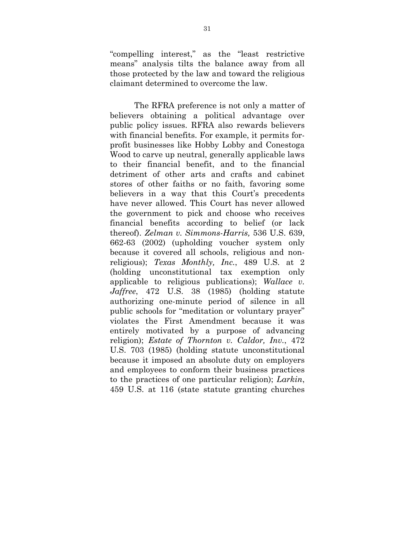"compelling interest," as the "least restrictive means" analysis tilts the balance away from all those protected by the law and toward the religious claimant determined to overcome the law.

The RFRA preference is not only a matter of believers obtaining a political advantage over public policy issues. RFRA also rewards believers with financial benefits. For example, it permits forprofit businesses like Hobby Lobby and Conestoga Wood to carve up neutral, generally applicable laws to their financial benefit, and to the financial detriment of other arts and crafts and cabinet stores of other faiths or no faith, favoring some believers in a way that this Court's precedents have never allowed. This Court has never allowed the government to pick and choose who receives financial benefits according to belief (or lack thereof). *Zelman v. Simmons-Harris,* 536 U.S. 639, 662-63 (2002) (upholding voucher system only because it covered all schools, religious and nonreligious); *Texas Monthly, Inc.*, 489 U.S. at 2 (holding unconstitutional tax exemption only applicable to religious publications); *Wallace v. Jaffree*, 472 U.S. 38 (1985) (holding statute authorizing one-minute period of silence in all public schools for "meditation or voluntary prayer" violates the First Amendment because it was entirely motivated by a purpose of advancing religion); *Estate of Thornton v. Caldor, Inv.*, 472 U.S. 703 (1985) (holding statute unconstitutional because it imposed an absolute duty on employers and employees to conform their business practices to the practices of one particular religion); *Larkin*, 459 U.S. at 116 (state statute granting churches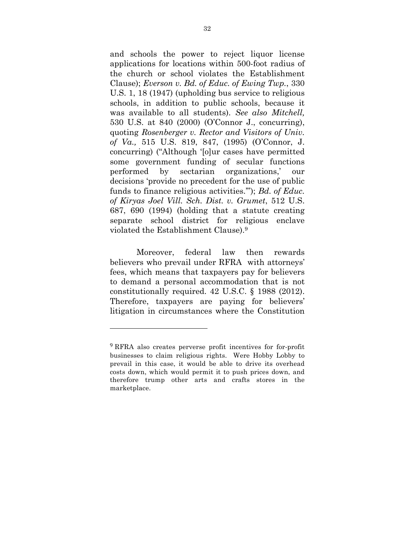and schools the power to reject liquor license applications for locations within 500-foot radius of the church or school violates the Establishment Clause); *Everson v. Bd. of Educ. of Ewing Twp.*, 330 U.S. 1, 18 (1947) (upholding bus service to religious schools, in addition to public schools, because it was available to all students). *See also Mitchell,*  530 U.S. at 840 (2000) (O'Connor J., concurring), quoting *Rosenberger v. Rector and Visitors of Univ. of Va.,* 515 U.S. 819, 847, (1995) (O'Connor, J. concurring) ("Although '[o]ur cases have permitted some government funding of secular functions performed by sectarian organizations,' our decisions 'provide no precedent for the use of public funds to finance religious activities.'"); *Bd. of Educ. of Kiryas Joel Vill. Sch. Dist. v. Grumet*, 512 U.S. 687, 690 (1994) (holding that a statute creating separate school district for religious enclave violated the Establishment Clause).9

Moreover, federal law then rewards believers who prevail under RFRA with attorneys' fees, which means that taxpayers pay for believers to demand a personal accommodation that is not constitutionally required. 42 U.S.C. § 1988 (2012). Therefore, taxpayers are paying for believers' litigation in circumstances where the Constitution

 

<sup>9</sup> RFRA also creates perverse profit incentives for for-profit businesses to claim religious rights. Were Hobby Lobby to prevail in this case, it would be able to drive its overhead costs down, which would permit it to push prices down, and therefore trump other arts and crafts stores in the marketplace.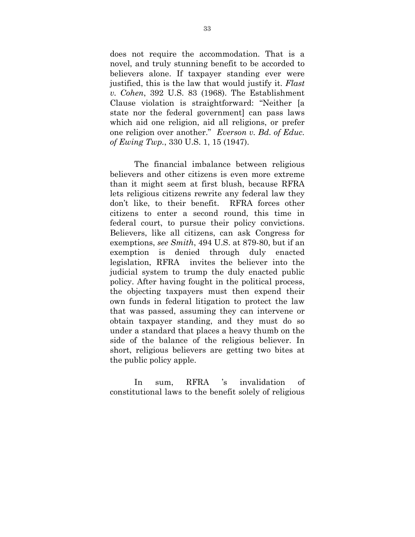does not require the accommodation. That is a novel, and truly stunning benefit to be accorded to believers alone. If taxpayer standing ever were justified, this is the law that would justify it. *Flast v. Cohen*, 392 U.S. 83 (1968). The Establishment Clause violation is straightforward: "Neither [a state nor the federal government] can pass laws which aid one religion, aid all religions, or prefer one religion over another." *Everson v. Bd. of Educ. of Ewing Twp.*, 330 U.S. 1, 15 (1947).

The financial imbalance between religious believers and other citizens is even more extreme than it might seem at first blush, because RFRA lets religious citizens rewrite any federal law they don't like, to their benefit. RFRA forces other citizens to enter a second round, this time in federal court, to pursue their policy convictions. Believers, like all citizens, can ask Congress for exemptions, *see Smith*, 494 U.S. at 879-80, but if an exemption is denied through duly enacted legislation, RFRA invites the believer into the judicial system to trump the duly enacted public policy. After having fought in the political process, the objecting taxpayers must then expend their own funds in federal litigation to protect the law that was passed, assuming they can intervene or obtain taxpayer standing, and they must do so under a standard that places a heavy thumb on the side of the balance of the religious believer. In short, religious believers are getting two bites at the public policy apple.

In sum, RFRA 's invalidation of constitutional laws to the benefit solely of religious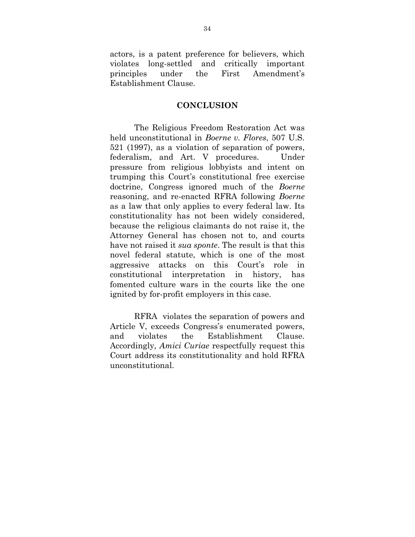actors, is a patent preference for believers, which violates long-settled and critically important principles under the First Amendment's Establishment Clause.

#### **CONCLUSION**

The Religious Freedom Restoration Act was held unconstitutional in *Boerne v. Flores*, 507 U.S. 521 (1997), as a violation of separation of powers, federalism, and Art. V procedures. Under pressure from religious lobbyists and intent on trumping this Court's constitutional free exercise doctrine, Congress ignored much of the *Boerne* reasoning, and re-enacted RFRA following *Boerne* as a law that only applies to every federal law. Its constitutionality has not been widely considered, because the religious claimants do not raise it, the Attorney General has chosen not to, and courts have not raised it *sua sponte*. The result is that this novel federal statute, which is one of the most aggressive attacks on this Court's role in constitutional interpretation in history, has fomented culture wars in the courts like the one ignited by for-profit employers in this case.

RFRA violates the separation of powers and Article V, exceeds Congress's enumerated powers, and violates the Establishment Clause. Accordingly, *Amici Curiae* respectfully request this Court address its constitutionality and hold RFRA unconstitutional.